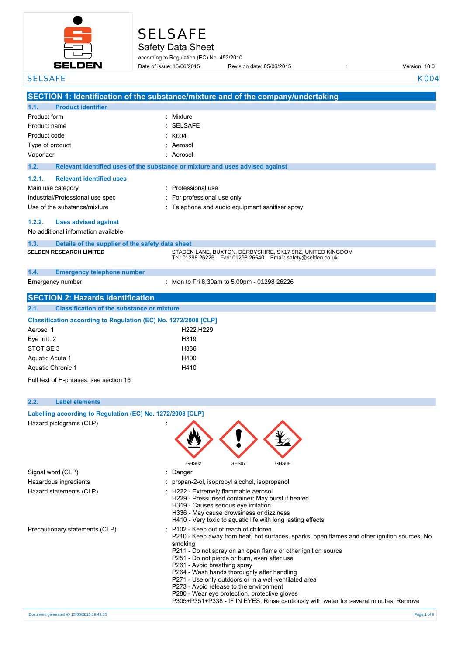

# **SELSAFE**

Safety Data Sheet

according to Regulation (EC) No. 453/2010 Date of issue: 15/06/2015

Revision date: 05/06/2015 Version: 10.0

| <b>SELSAFE</b>                                                  | K004                                                                                                                                   |
|-----------------------------------------------------------------|----------------------------------------------------------------------------------------------------------------------------------------|
|                                                                 | SECTION 1: Identification of the substance/mixture and of the company/undertaking                                                      |
| <b>Product identifier</b><br>1.1.                               |                                                                                                                                        |
| Product form                                                    | Mixture<br>۰                                                                                                                           |
|                                                                 | <b>SELSAFE</b>                                                                                                                         |
| Product name                                                    |                                                                                                                                        |
| Product code                                                    | K004                                                                                                                                   |
| Type of product                                                 | Aerosol                                                                                                                                |
| Vaporizer                                                       | Aerosol                                                                                                                                |
| 1.2.                                                            | Relevant identified uses of the substance or mixture and uses advised against                                                          |
| 1.2.1.<br><b>Relevant identified uses</b>                       |                                                                                                                                        |
| Main use category                                               | Professional use                                                                                                                       |
| Industrial/Professional use spec                                | For professional use only                                                                                                              |
| Use of the substance/mixture                                    | Telephone and audio equipment sanitiser spray                                                                                          |
|                                                                 |                                                                                                                                        |
| 1.2.2.<br><b>Uses advised against</b>                           |                                                                                                                                        |
| No additional information available                             |                                                                                                                                        |
| 1.3.<br>Details of the supplier of the safety data sheet        |                                                                                                                                        |
| <b>SELDEN RESEARCH LIMITED</b>                                  | STADEN LANE, BUXTON, DERBYSHIRE, SK17 9RZ, UNITED KINGDOM                                                                              |
|                                                                 | Tel: 01298 26226    Fax: 01298 26540    Email: safety@selden.co.uk                                                                     |
| 1.4.<br><b>Emergency telephone number</b>                       |                                                                                                                                        |
| Emergency number                                                | : Mon to Fri 8.30am to 5.00pm - 01298 26226                                                                                            |
|                                                                 |                                                                                                                                        |
| <b>SECTION 2: Hazards identification</b>                        |                                                                                                                                        |
| <b>Classification of the substance or mixture</b><br>2.1.       |                                                                                                                                        |
| Classification according to Regulation (EC) No. 1272/2008 [CLP] |                                                                                                                                        |
| Aerosol 1                                                       | H222;H229                                                                                                                              |
| Eye Irrit. 2                                                    | H319                                                                                                                                   |
| STOT SE3                                                        | H336                                                                                                                                   |
| <b>Aquatic Acute 1</b>                                          | H400                                                                                                                                   |
| Aquatic Chronic 1                                               | H410                                                                                                                                   |
| Full text of H-phrases: see section 16                          |                                                                                                                                        |
|                                                                 |                                                                                                                                        |
| 2.2.<br><b>Label elements</b>                                   |                                                                                                                                        |
| Labelling according to Regulation (EC) No. 1272/2008 [CLP]      |                                                                                                                                        |
|                                                                 |                                                                                                                                        |
| Hazard pictograms (CLP)                                         |                                                                                                                                        |
|                                                                 |                                                                                                                                        |
|                                                                 |                                                                                                                                        |
|                                                                 |                                                                                                                                        |
|                                                                 | GHS02<br>GHS07<br>GHS09                                                                                                                |
| Signal word (CLP)                                               | Danger                                                                                                                                 |
| Hazardous ingredients                                           | propan-2-ol, isopropyl alcohol, isopropanol                                                                                            |
| Hazard statements (CLP)                                         | : H222 - Extremely flammable aerosol                                                                                                   |
|                                                                 | H229 - Pressurised container: May burst if heated                                                                                      |
|                                                                 | H319 - Causes serious eye irritation                                                                                                   |
|                                                                 | H336 - May cause drowsiness or dizziness                                                                                               |
|                                                                 | H410 - Very toxic to aquatic life with long lasting effects                                                                            |
| Precautionary statements (CLP)                                  | : P102 - Keep out of reach of children<br>P210 - Keep away from heat, hot surfaces, sparks, open flames and other ignition sources. No |
|                                                                 | smoking                                                                                                                                |
|                                                                 | P211 - Do not spray on an open flame or other ignition source                                                                          |
|                                                                 | P251 - Do not pierce or burn, even after use                                                                                           |
|                                                                 | P261 - Avoid breathing spray                                                                                                           |
|                                                                 | P264 - Wash hands thoroughly after handling                                                                                            |
|                                                                 | P271 - Use only outdoors or in a well-ventilated area                                                                                  |
|                                                                 | P273 - Avoid release to the environment<br>P280 - Wear eye protection, protective gloves                                               |
|                                                                 | P305+P351+P338 - IF IN EYES: Rinse cautiously with water for several minutes. Remove                                                   |
|                                                                 |                                                                                                                                        |
| Document generated @ 15/06/2015 19:49:35                        | Page 1 of 8                                                                                                                            |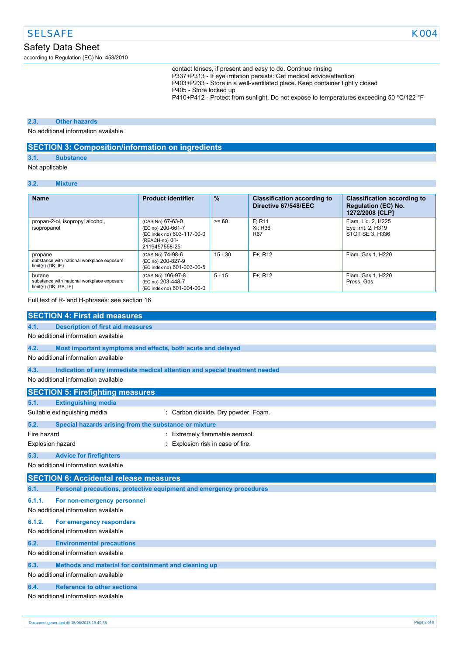according to Regulation (EC) No. 453/2010

contact lenses, if present and easy to do. Continue rinsing P337+P313 - If eye irritation persists: Get medical advice/attention P403+P233 - Store in a well-ventilated place. Keep container tightly closed P405 - Store locked up P410+P412 - Protect from sunlight. Do not expose to temperatures exceeding 50 °C/122 °F

### **2.3. Other hazards**

No additional information available

## **SECTION 3: Composition/information on ingredients**

### **3.1. Substance**

Not applicable

### **3.2. Mixture**

| <b>Name</b>                                                                         | <b>Product identifier</b>                                                                              | $\frac{9}{6}$ | <b>Classification according to</b><br>Directive 67/548/EEC | <b>Classification according to</b><br><b>Regulation (EC) No.</b><br>1272/2008 [CLP] |
|-------------------------------------------------------------------------------------|--------------------------------------------------------------------------------------------------------|---------------|------------------------------------------------------------|-------------------------------------------------------------------------------------|
| propan-2-ol, isopropyl alcohol,<br>isopropanol                                      | (CAS No) 67-63-0<br>(EC no) 200-661-7<br>(EC index no) 603-117-00-0<br>(REACH-no) 01-<br>2119457558-25 | $>= 60$       | F: R11<br>Xi: R36<br>R <sub>67</sub>                       | Flam. Lig. 2, H225<br>Eye Irrit. 2, H319<br>STOT SE 3, H336                         |
| propane<br>substance with national workplace exposure<br>$limit(s)$ ( $DK$ , $IE$ ) | (CAS No) 74-98-6<br>(EC no) 200-827-9<br>(EC index no) 601-003-00-5                                    | $15 - 30$     | $F +: R12$                                                 | Flam. Gas 1, H220                                                                   |
| butane<br>substance with national workplace exposure<br>$limit(s)$ (DK, GB, $IE$ )  | (CAS No) 106-97-8<br>(EC no) 203-448-7<br>(EC index no) 601-004-00-0                                   | $5 - 15$      | $F +: R12$                                                 | Flam. Gas 1, H220<br>Press, Gas                                                     |

Full text of R- and H-phrases: see section 16

|                                     | <b>SECTION 4: First aid measures</b>                                       |                                     |  |  |
|-------------------------------------|----------------------------------------------------------------------------|-------------------------------------|--|--|
| 4.1.                                | <b>Description of first aid measures</b>                                   |                                     |  |  |
|                                     | No additional information available                                        |                                     |  |  |
| 4.2.                                | Most important symptoms and effects, both acute and delayed                |                                     |  |  |
|                                     | No additional information available                                        |                                     |  |  |
| 4.3.                                | Indication of any immediate medical attention and special treatment needed |                                     |  |  |
|                                     | No additional information available                                        |                                     |  |  |
|                                     | <b>SECTION 5: Firefighting measures</b>                                    |                                     |  |  |
| 5.1.                                | <b>Extinguishing media</b>                                                 |                                     |  |  |
|                                     | Suitable extinguishing media                                               | : Carbon dioxide. Dry powder. Foam. |  |  |
| 5.2.                                | Special hazards arising from the substance or mixture                      |                                     |  |  |
| Fire hazard                         |                                                                            | Extremely flammable aerosol.        |  |  |
| Explosion hazard                    |                                                                            | Explosion risk in case of fire.     |  |  |
| 5.3.                                | <b>Advice for firefighters</b>                                             |                                     |  |  |
|                                     | No additional information available                                        |                                     |  |  |
|                                     | <b>SECTION 6: Accidental release measures</b>                              |                                     |  |  |
| 6.1.                                | Personal precautions, protective equipment and emergency procedures        |                                     |  |  |
| 6.1.1.                              | For non-emergency personnel                                                |                                     |  |  |
|                                     | No additional information available                                        |                                     |  |  |
| 6.1.2.                              | For emergency responders                                                   |                                     |  |  |
|                                     | No additional information available                                        |                                     |  |  |
| 6.2.                                | <b>Environmental precautions</b>                                           |                                     |  |  |
|                                     | No additional information available                                        |                                     |  |  |
| 6.3.                                | Methods and material for containment and cleaning up                       |                                     |  |  |
| No additional information available |                                                                            |                                     |  |  |
| 6.4.                                | <b>Reference to other sections</b>                                         |                                     |  |  |
|                                     | No additional information available                                        |                                     |  |  |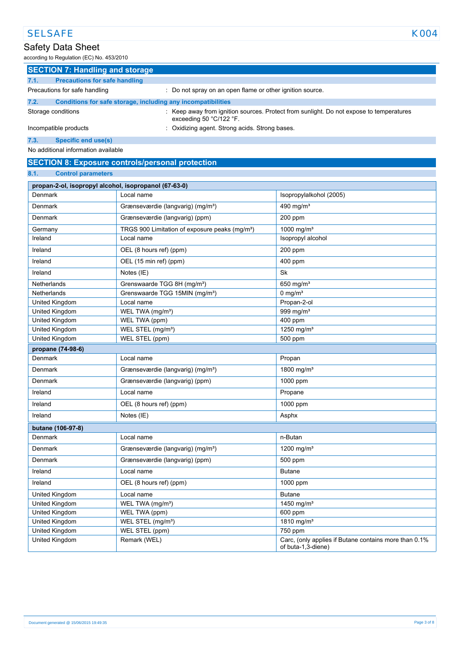according to Regulation (EC) No. 453/2010

|      | <b>SECTION 7: Handling and storage</b>                       |                                                                                                                                      |
|------|--------------------------------------------------------------|--------------------------------------------------------------------------------------------------------------------------------------|
| 7.1. | <b>Precautions for safe handling</b>                         |                                                                                                                                      |
|      | Precautions for safe handling                                | Do not spray on an open flame or other ignition source.                                                                              |
| 7.2. | Conditions for safe storage, including any incompatibilities |                                                                                                                                      |
|      | Storage conditions                                           | Keep away from ignition sources. Protect from sunlight. Do not expose to temperatures<br>exceeding 50 $^{\circ}$ C/122 $^{\circ}$ F. |
|      | Incompatible products                                        | : Oxidizing agent. Strong acids. Strong bases.                                                                                       |
| 7.3. | Specific end use(s)                                          |                                                                                                                                      |
|      | No additional information available                          |                                                                                                                                      |

## **SECTION 8: Exposure controls/personal protection**

### **8.1. Control parameters**

| propan-2-ol, isopropyl alcohol, isopropanol (67-63-0) |                                                            |                                                                             |  |  |
|-------------------------------------------------------|------------------------------------------------------------|-----------------------------------------------------------------------------|--|--|
| Denmark                                               | Local name                                                 | Isopropylalkohol (2005)                                                     |  |  |
| Denmark                                               | Grænseværdie (langvarig) (mg/m <sup>3</sup> )              | 490 mg/ $m3$                                                                |  |  |
| Denmark                                               | Grænseværdie (langvarig) (ppm)                             | 200 ppm                                                                     |  |  |
| Germany                                               | TRGS 900 Limitation of exposure peaks (mg/m <sup>3</sup> ) | 1000 mg/m <sup>3</sup>                                                      |  |  |
| Ireland                                               | Local name                                                 | Isopropyl alcohol                                                           |  |  |
| Ireland                                               | OEL (8 hours ref) (ppm)                                    | 200 ppm                                                                     |  |  |
| Ireland                                               | OEL (15 min ref) (ppm)                                     | 400 ppm                                                                     |  |  |
| Ireland                                               | Notes (IE)                                                 | <b>Sk</b>                                                                   |  |  |
| Netherlands                                           | Grenswaarde TGG 8H (mg/m <sup>3</sup> )                    | 650 mg/ $m3$                                                                |  |  |
| Netherlands                                           | Grenswaarde TGG 15MIN (mg/m <sup>3</sup> )                 | 0 mg/ $m3$                                                                  |  |  |
| United Kingdom                                        | Local name                                                 | Propan-2-ol                                                                 |  |  |
| United Kingdom                                        | WEL TWA (mg/m <sup>3</sup> )                               | 999 mg/m <sup>3</sup>                                                       |  |  |
| United Kingdom                                        | WEL TWA (ppm)                                              | 400 ppm                                                                     |  |  |
| United Kingdom                                        | WEL STEL (mg/m <sup>3</sup> )                              | 1250 mg/m <sup>3</sup>                                                      |  |  |
| United Kingdom                                        | WEL STEL (ppm)                                             | 500 ppm                                                                     |  |  |
| propane (74-98-6)                                     |                                                            |                                                                             |  |  |
| Denmark                                               | Local name                                                 | Propan                                                                      |  |  |
| Denmark                                               | Grænseværdie (langvarig) (mg/m <sup>3</sup> )              | 1800 mg/m <sup>3</sup>                                                      |  |  |
| Denmark                                               | Grænseværdie (langvarig) (ppm)                             | 1000 ppm                                                                    |  |  |
| Ireland                                               | Local name                                                 | Propane                                                                     |  |  |
| Ireland                                               | OEL (8 hours ref) (ppm)                                    | 1000 ppm                                                                    |  |  |
| Ireland                                               | Notes (IE)                                                 | Asphx                                                                       |  |  |
| butane (106-97-8)                                     |                                                            |                                                                             |  |  |
| Denmark                                               | Local name                                                 | n-Butan                                                                     |  |  |
| Denmark                                               | Grænseværdie (langvarig) (mg/m <sup>3</sup> )              | 1200 mg/m <sup>3</sup>                                                      |  |  |
| Denmark                                               | Grænseværdie (langvarig) (ppm)                             | 500 ppm                                                                     |  |  |
| Ireland                                               | Local name                                                 | <b>Butane</b>                                                               |  |  |
| Ireland                                               | OEL (8 hours ref) (ppm)                                    | $1000$ ppm                                                                  |  |  |
| United Kingdom                                        | Local name                                                 | <b>Butane</b>                                                               |  |  |
| United Kingdom                                        | WEL TWA (mg/m <sup>3</sup> )                               | 1450 mg/m <sup>3</sup>                                                      |  |  |
| United Kingdom                                        | WEL TWA (ppm)                                              | 600 ppm                                                                     |  |  |
| United Kingdom                                        | WEL STEL (mg/m <sup>3</sup> )                              | 1810 mg/m <sup>3</sup>                                                      |  |  |
| United Kingdom                                        | WEL STEL (ppm)                                             | 750 ppm                                                                     |  |  |
| United Kingdom                                        | Remark (WEL)                                               | Carc, (only applies if Butane contains more than 0.1%<br>of buta-1,3-diene) |  |  |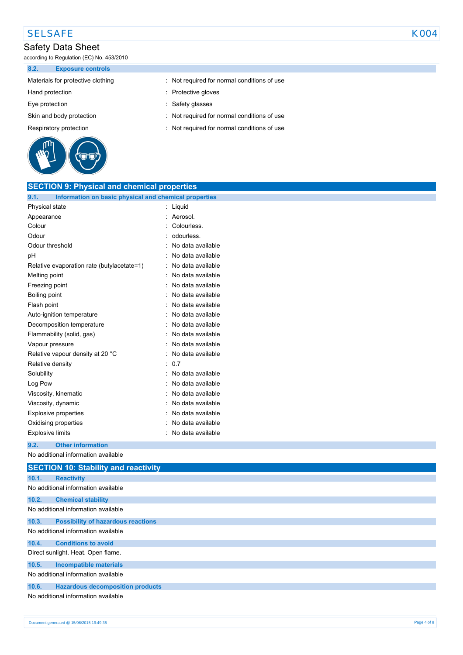## SELSAFE KOO4

## Safety Data Sheet

according to Regulation (EC) No. 453/2010

**8.2. Exposure controls**

- 
- 
- 
- 
- 



- Materials for protective clothing : Not required for normal conditions of use
- Hand protection **in the contract of the COV** and Protective gloves
- Eye protection in the set of the state of the Safety glasses
- Skin and body protection : Not required for normal conditions of use
- Respiratory protection : Not required for normal conditions of use

| <b>SECTION 9: Physical and chemical properties</b>            |                   |
|---------------------------------------------------------------|-------------------|
| 9.1.<br>Information on basic physical and chemical properties |                   |
| Physical state                                                | : Liquid          |
| Appearance                                                    | Aerosol.          |
| Colour                                                        | Colourless.       |
| Odour                                                         | odourless.        |
| Odour threshold                                               | No data available |
| рH                                                            | No data available |
| Relative evaporation rate (butylacetate=1)                    | No data available |
| Melting point                                                 | No data available |
| Freezing point                                                | No data available |
| Boiling point                                                 | No data available |
| Flash point                                                   | No data available |
| Auto-ignition temperature                                     | No data available |
| Decomposition temperature                                     | No data available |
| Flammability (solid, gas)                                     | No data available |
| Vapour pressure                                               | No data available |
| Relative vapour density at 20 °C                              | No data available |
| Relative density                                              | 0.7<br>۰          |
| Solubility                                                    | No data available |
| Log Pow                                                       | No data available |
| Viscosity, kinematic                                          | No data available |
| Viscosity, dynamic                                            | No data available |
| <b>Explosive properties</b>                                   | No data available |
| Oxidising properties                                          | No data available |
| <b>Explosive limits</b>                                       | No data available |
| 9.2.<br><b>Other information</b>                              |                   |
| No additional information available                           |                   |
| <b>SECTION 10: Stability and reactivity</b>                   |                   |
| 10.1.<br><b>Reactivity</b>                                    |                   |
| No additional information available                           |                   |
| 10.2.<br><b>Chemical stability</b>                            |                   |
| No additional information available                           |                   |
| 10.3.<br><b>Possibility of hazardous reactions</b>            |                   |
| No additional information available                           |                   |
| 10.4.<br><b>Conditions to avoid</b>                           |                   |
| Direct sunlight. Heat. Open flame.                            |                   |
| <b>Incompatible materials</b><br>10.5.                        |                   |
| No additional information available                           |                   |
| <b>Hazardous decomposition products</b><br>10.6.              |                   |
| No additional information available                           |                   |
|                                                               |                   |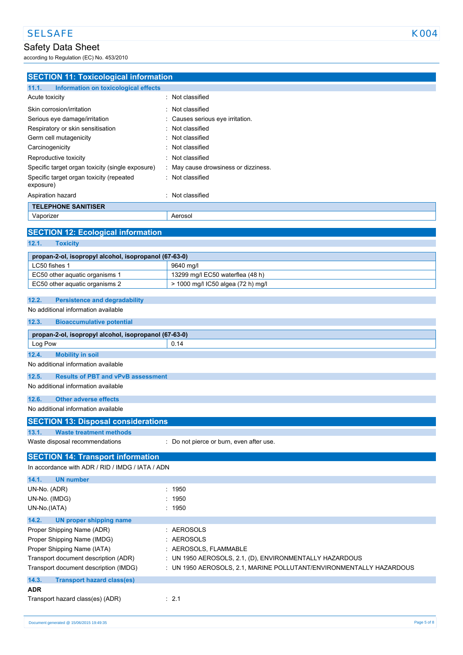according to Regulation (EC) No. 453/2010

| <b>SECTION 11: Toxicological information</b>                            |                                                                     |
|-------------------------------------------------------------------------|---------------------------------------------------------------------|
| 11.1.<br>Information on toxicological effects                           |                                                                     |
| Acute toxicity                                                          | : Not classified                                                    |
| Skin corrosion/irritation                                               | Not classified                                                      |
| Serious eye damage/irritation                                           | Causes serious eye irritation.                                      |
| Respiratory or skin sensitisation                                       | Not classified                                                      |
| Germ cell mutagenicity                                                  | Not classified                                                      |
| Carcinogenicity                                                         | Not classified                                                      |
| Reproductive toxicity                                                   | Not classified                                                      |
| Specific target organ toxicity (single exposure)                        | May cause drowsiness or dizziness.                                  |
| Specific target organ toxicity (repeated<br>exposure)                   | Not classified                                                      |
| Aspiration hazard                                                       | : Not classified                                                    |
| <b>TELEPHONE SANITISER</b>                                              |                                                                     |
| Vaporizer                                                               | Aerosol                                                             |
|                                                                         |                                                                     |
| <b>SECTION 12: Ecological information</b>                               |                                                                     |
| 12.1.<br><b>Toxicity</b>                                                |                                                                     |
| propan-2-ol, isopropyl alcohol, isopropanol (67-63-0)                   |                                                                     |
| LC50 fishes 1                                                           | 9640 mg/l                                                           |
| EC50 other aquatic organisms 1                                          | 13299 mg/l EC50 waterflea (48 h)                                    |
| EC50 other aquatic organisms 2                                          | > 1000 mg/l IC50 algea (72 h) mg/l                                  |
| <b>Persistence and degradability</b><br>12.2.                           |                                                                     |
| No additional information available                                     |                                                                     |
| 12.3.<br><b>Bioaccumulative potential</b>                               |                                                                     |
|                                                                         |                                                                     |
| propan-2-ol, isopropyl alcohol, isopropanol (67-63-0)                   | 0.14                                                                |
| Log Pow                                                                 |                                                                     |
| 12.4.<br><b>Mobility in soil</b><br>No additional information available |                                                                     |
|                                                                         |                                                                     |
| 12.5.<br><b>Results of PBT and vPvB assessment</b>                      |                                                                     |
| No additional information available                                     |                                                                     |
| <b>Other adverse effects</b><br>12.6.                                   |                                                                     |
| No additional information available                                     |                                                                     |
| <b>SECTION 13: Disposal considerations</b>                              |                                                                     |
| 13.1.<br><b>Waste treatment methods</b>                                 |                                                                     |
| Waste disposal recommendations                                          | : Do not pierce or burn, even after use.                            |
| <b>SECTION 14: Transport information</b>                                |                                                                     |
| In accordance with ADR / RID / IMDG / IATA / ADN                        |                                                                     |
| 14.1.<br><b>UN number</b>                                               |                                                                     |
| UN-No. (ADR)                                                            | : 1950                                                              |
| UN-No. (IMDG)                                                           | 1950                                                                |
| UN-No.(IATA)                                                            | : 1950                                                              |
| 14.2.<br><b>UN proper shipping name</b>                                 |                                                                     |
| Proper Shipping Name (ADR)                                              | : AEROSOLS                                                          |
| Proper Shipping Name (IMDG)                                             | <b>AEROSOLS</b>                                                     |
| Proper Shipping Name (IATA)                                             | : AEROSOLS, FLAMMABLE                                               |
| Transport document description (ADR)                                    | : UN 1950 AEROSOLS, 2.1, (D), ENVIRONMENTALLY HAZARDOUS             |
| Transport document description (IMDG)                                   | : UN 1950 AEROSOLS, 2.1, MARINE POLLUTANT/ENVIRONMENTALLY HAZARDOUS |
| 14.3.<br><b>Transport hazard class(es)</b>                              |                                                                     |
| <b>ADR</b>                                                              |                                                                     |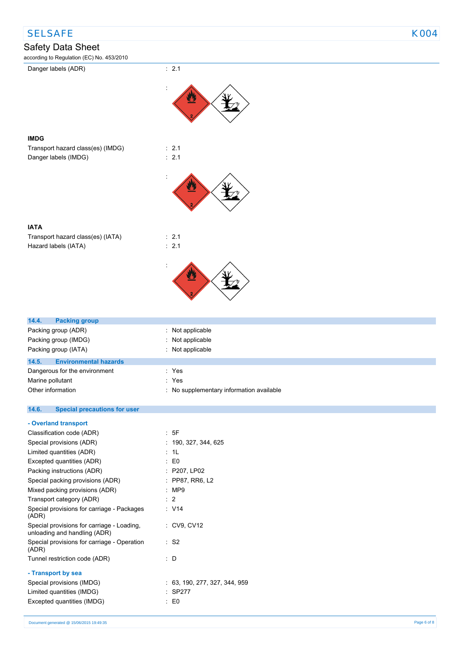## SELSAFE KOO4

## Safety Data Sheet

according to Regulation (EC) No. 453/2010



unloading and handling (ADR)

**- Transport by sea**

(ADR)

Special provisions for carriage - Operation

Tunnel restriction code (ADR) : D

Limited quantities (IMDG) : SP277 Excepted quantities (IMDG) : E0

Special provisions (IMDG) : 63, 190, 277, 327, 344, 959

 $\cdot$  S<sub>2</sub>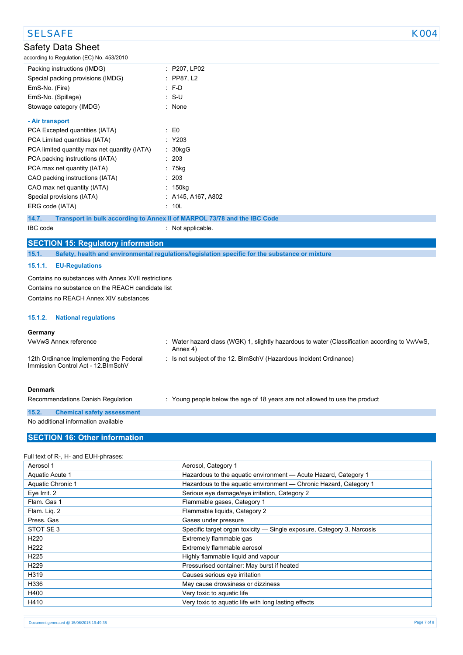## Safety Data Sheet according to Regulation (EC) No. 453/2010 Packing instructions (IMDG) : P207, LP02 Special packing provisions (IMDG) : PP87, L2 EmS-No. (Fire) : F-D EmS-No. (Spillage) in the set of the S-U is set of the S-U Stowage category (IMDG) **:** None **- Air transport** PCA Excepted quantities (IATA) : E0 PCA Limited quantities (IATA) : Y203 PCA limited quantity max net quantity (IATA) : 30kgG PCA packing instructions (IATA) : 203 PCA max net quantity (IATA) : 75kg CAO packing instructions (IATA) : 203 CAO max net quantity (IATA) : 150kg Special provisions (IATA) : A145, A167, A802 ERG code (IATA) : 10L **14.7. Transport in bulk according to Annex II of MARPOL 73/78 and the IBC Code** IBC code : Not applicable. **SECTION 15: Regulatory information 15.1. Safety, health and environmental regulations/legislation specific for the substance or mixture 15.1.1. EU-Regulations** Contains no substances with Annex XVII restrictions Contains no substance on the REACH candidate list Contains no REACH Annex XIV substances SELSAFE KOO4

### **15.1.2. National regulations**

### **Germany**

| VwVwS Annex reference                                                          | Water hazard class (WGK) 1, slightly hazardous to water (Classification according to VwVwS,<br>Annex 4) |
|--------------------------------------------------------------------------------|---------------------------------------------------------------------------------------------------------|
| 12th Ordinance Implementing the Federal<br>Immission Control Act - 12. BlmSchV | : Is not subject of the 12. BlmSchV (Hazardous Incident Ordinance)                                      |
| <b>Denmark</b>                                                                 |                                                                                                         |

Recommendations Danish Regulation : Young people below the age of 18 years are not allowed to use the product

### **15.2. Chemical safety assessment** No additional information available

### **SECTION 16: Other information**

### Full text of R-, H- and EUH-phrases:

| Aerosol 1         | Aerosol, Category 1                                                    |
|-------------------|------------------------------------------------------------------------|
| Aquatic Acute 1   | Hazardous to the aquatic environment - Acute Hazard, Category 1        |
| Aquatic Chronic 1 | Hazardous to the aquatic environment - Chronic Hazard, Category 1      |
| Eye Irrit. 2      | Serious eye damage/eye irritation, Category 2                          |
| Flam. Gas 1       | Flammable gases, Category 1                                            |
| Flam. Lig. 2      | Flammable liquids, Category 2                                          |
| Press, Gas        | Gases under pressure                                                   |
| STOT SE3          | Specific target organ toxicity — Single exposure, Category 3, Narcosis |
| H <sub>220</sub>  | Extremely flammable gas                                                |
| H <sub>222</sub>  | Extremely flammable aerosol                                            |
| H <sub>225</sub>  | Highly flammable liquid and vapour                                     |
| H <sub>229</sub>  | Pressurised container: May burst if heated                             |
| H319              | Causes serious eye irritation                                          |
| H336              | May cause drowsiness or dizziness                                      |
| H400              | Very toxic to aquatic life                                             |
| H410              | Very toxic to aquatic life with long lasting effects                   |